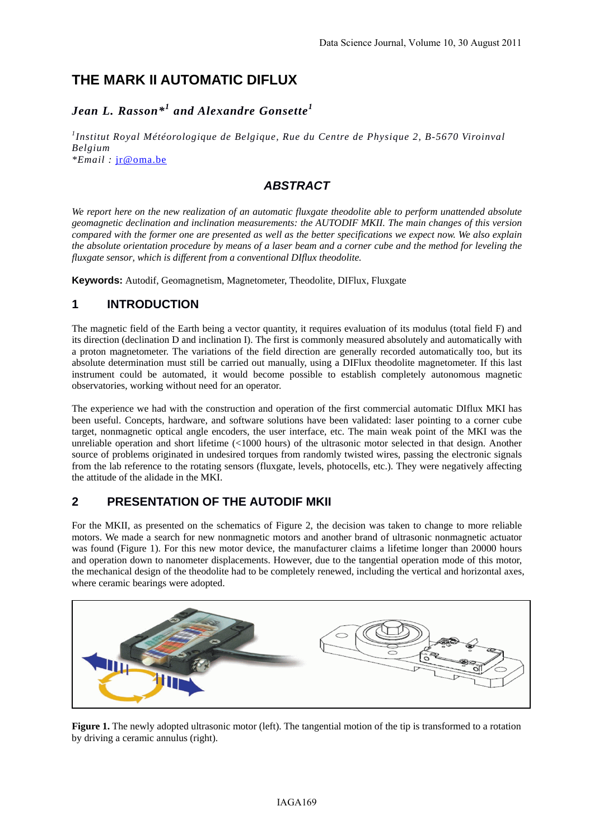# **THE MARK II AUTOMATIC DIFLUX**

# *Jean L. Rasson\*<sup>1</sup> and Alexandre Gonsette<sup>1</sup>*

*1 Institut Royal Météorologique de Belgique, Rue du Centre de Physique 2, B-5670 Viroinval Belgium \*Email :* jr@oma.be

## *ABSTRACT*

*We report here on the new realization of an automatic fluxgate theodolite able to perform unattended absolute geomagnetic declination and inclination measurements: the AUTODIF MKII. The main changes of this version compared with the former one are presented as well as the better specifications we expect now. We also explain the absolute orientation procedure by means of a laser beam and a corner cube and the method for leveling the fluxgate sensor, which is different from a conventional DIflux theodolite.* 

**Keywords:** Autodif, Geomagnetism, Magnetometer, Theodolite, DIFlux, Fluxgate

#### **1 INTRODUCTION**

The magnetic field of the Earth being a vector quantity, it requires evaluation of its modulus (total field F) and its direction (declination D and inclination I). The first is commonly measured absolutely and automatically with a proton magnetometer. The variations of the field direction are generally recorded automatically too, but its absolute determination must still be carried out manually, using a DIFlux theodolite magnetometer. If this last instrument could be automated, it would become possible to establish completely autonomous magnetic observatories, working without need for an operator.

The experience we had with the construction and operation of the first commercial automatic DIflux MKI has been useful. Concepts, hardware, and software solutions have been validated: laser pointing to a corner cube target, nonmagnetic optical angle encoders, the user interface, etc. The main weak point of the MKI was the unreliable operation and short lifetime (<1000 hours) of the ultrasonic motor selected in that design. Another source of problems originated in undesired torques from randomly twisted wires, passing the electronic signals from the lab reference to the rotating sensors (fluxgate, levels, photocells, etc.). They were negatively affecting the attitude of the alidade in the MKI.

## **2 PRESENTATION OF THE AUTODIF MKII**

For the MKII, as presented on the schematics of Figure 2, the decision was taken to change to more reliable motors. We made a search for new nonmagnetic motors and another brand of ultrasonic nonmagnetic actuator was found (Figure 1). For this new motor device, the manufacturer claims a lifetime longer than 20000 hours and operation down to nanometer displacements. However, due to the tangential operation mode of this motor, the mechanical design of the theodolite had to be completely renewed, including the vertical and horizontal axes, where ceramic bearings were adopted.



**Figure 1.** The newly adopted ultrasonic motor (left). The tangential motion of the tip is transformed to a rotation by driving a ceramic annulus (right).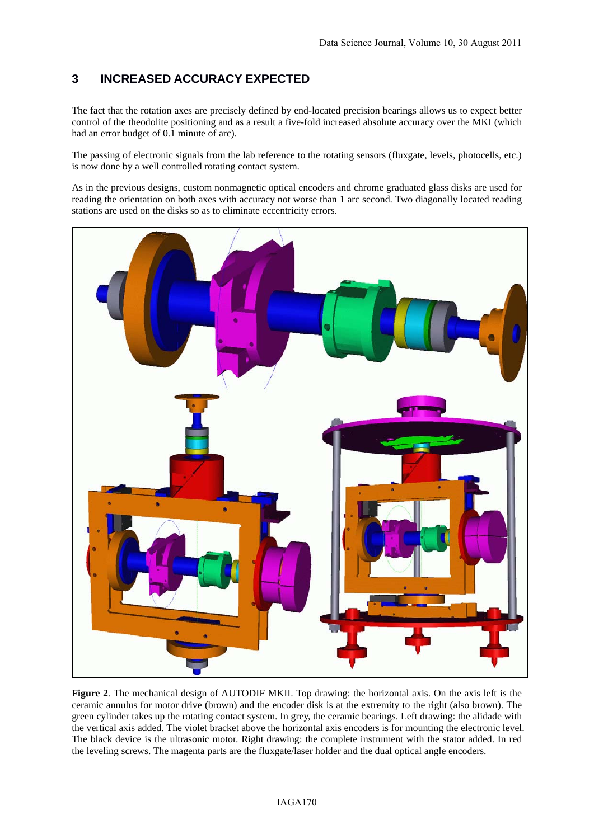## **3 INCREASED ACCURACY EXPECTED**

The fact that the rotation axes are precisely defined by end-located precision bearings allows us to expect better control of the theodolite positioning and as a result a five-fold increased absolute accuracy over the MKI (which had an error budget of 0.1 minute of arc).

The passing of electronic signals from the lab reference to the rotating sensors (fluxgate, levels, photocells, etc.) is now done by a well controlled rotating contact system.

As in the previous designs, custom nonmagnetic optical encoders and chrome graduated glass disks are used for reading the orientation on both axes with accuracy not worse than 1 arc second. Two diagonally located reading stations are used on the disks so as to eliminate eccentricity errors.



**Figure 2**. The mechanical design of AUTODIF MKII. Top drawing: the horizontal axis. On the axis left is the ceramic annulus for motor drive (brown) and the encoder disk is at the extremity to the right (also brown). The green cylinder takes up the rotating contact system. In grey, the ceramic bearings. Left drawing: the alidade with the vertical axis added. The violet bracket above the horizontal axis encoders is for mounting the electronic level. The black device is the ultrasonic motor. Right drawing: the complete instrument with the stator added. In red the leveling screws. The magenta parts are the fluxgate/laser holder and the dual optical angle encoders.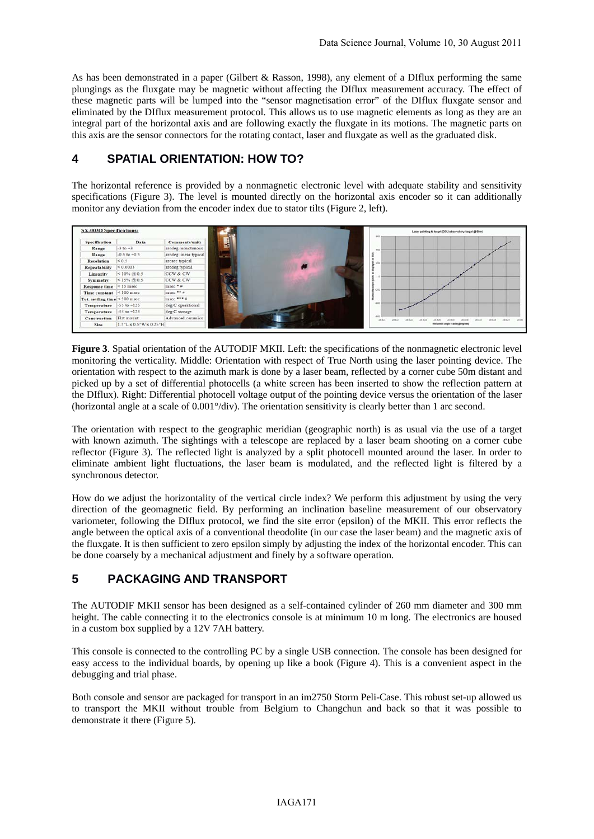As has been demonstrated in a paper (Gilbert & Rasson, 1998), any element of a DIflux performing the same plungings as the fluxgate may be magnetic without affecting the DIflux measurement accuracy. The effect of these magnetic parts will be lumped into the "sensor magnetisation error" of the DIflux fluxgate sensor and eliminated by the DIflux measurement protocol. This allows us to use magnetic elements as long as they are an integral part of the horizontal axis and are following exactly the fluxgate in its motions. The magnetic parts on this axis are the sensor connectors for the rotating contact, laser and fluxgate as well as the graduated disk.

#### **4 SPATIAL ORIENTATION: HOW TO?**

The horizontal reference is provided by a nonmagnetic electronic level with adequate stability and sensitivity specifications (Figure 3). The level is mounted directly on the horizontal axis encoder so it can additionally monitor any deviation from the encoder index due to stator tilts (Figure 2, left).

| Specification                      | Data                   | Comments/units        | $\mathbf{H}$      |  |       |        |                  |                                           |       |                   |
|------------------------------------|------------------------|-----------------------|-------------------|--|-------|--------|------------------|-------------------------------------------|-------|-------------------|
| Range                              | $-3$ to $-3$           | arcdeg monotonous     |                   |  | 430   |        |                  |                                           |       |                   |
| Range                              | $-0.5$ to $+0.5$       | arcdeg linear typical | <b>STATISTICS</b> |  |       |        |                  |                                           |       |                   |
| <b>Resolution</b>                  | < 0.5                  | arcsec typical        |                   |  |       |        |                  |                                           |       |                   |
| Repeatability                      | < 0.0003               | aredeg typical        |                   |  |       |        |                  |                                           |       |                   |
| Linearity                          | $< 10\% \ @ 0.5$       | CCW & CW              |                   |  |       |        |                  |                                           |       |                   |
| <b>Symmetry</b>                    | $<$ 15% $@$ 0.5        | CCW & CW              |                   |  |       |        |                  |                                           |       |                   |
| Response time                      | $<$ 15 msec            | msec * #              |                   |  |       |        |                  |                                           |       |                   |
| Time constant <100 msec            |                        | msec ** #             |                   |  | 8.000 |        |                  |                                           |       |                   |
| Tot. settling time $\leq 500$ msec |                        | msec *** #            |                   |  |       |        |                  |                                           |       |                   |
| Temperature                        | $-55$ to $+125$        | deg C operational     |                   |  | $-40$ |        |                  |                                           |       |                   |
| Temperature                        | $-55$ to $+125$        | deg C storage         |                   |  |       |        |                  |                                           |       |                   |
| Construction                       | Flat mount             | Advanced ceramics     |                   |  | 28.82 | 28.821 | 26.823<br>28 822 | 28,834<br>26,825                          | 28.82 | 28, 829<br>29.828 |
| Size                               | 1.5"L x 0.5"W x 0.25"H |                       |                   |  |       |        |                  | <b>Herizontal angle seading (degrees)</b> |       |                   |

**Figure 3**. Spatial orientation of the AUTODIF MKII. Left: the specifications of the nonmagnetic electronic level monitoring the verticality. Middle: Orientation with respect of True North using the laser pointing device. The orientation with respect to the azimuth mark is done by a laser beam, reflected by a corner cube 50m distant and picked up by a set of differential photocells (a white screen has been inserted to show the reflection pattern at the DIflux). Right: Differential photocell voltage output of the pointing device versus the orientation of the laser (horizontal angle at a scale of 0.001°/div). The orientation sensitivity is clearly better than 1 arc second.

The orientation with respect to the geographic meridian (geographic north) is as usual via the use of a target with known azimuth. The sightings with a telescope are replaced by a laser beam shooting on a corner cube reflector (Figure 3). The reflected light is analyzed by a split photocell mounted around the laser. In order to eliminate ambient light fluctuations, the laser beam is modulated, and the reflected light is filtered by a synchronous detector.

How do we adjust the horizontality of the vertical circle index? We perform this adjustment by using the very direction of the geomagnetic field. By performing an inclination baseline measurement of our observatory variometer, following the DIflux protocol, we find the site error (epsilon) of the MKII. This error reflects the angle between the optical axis of a conventional theodolite (in our case the laser beam) and the magnetic axis of the fluxgate. It is then sufficient to zero epsilon simply by adjusting the index of the horizontal encoder. This can be done coarsely by a mechanical adjustment and finely by a software operation.

## **5 PACKAGING AND TRANSPORT**

The AUTODIF MKII sensor has been designed as a self-contained cylinder of 260 mm diameter and 300 mm height. The cable connecting it to the electronics console is at minimum 10 m long. The electronics are housed in a custom box supplied by a 12V 7AH battery.

This console is connected to the controlling PC by a single USB connection. The console has been designed for easy access to the individual boards, by opening up like a book (Figure 4). This is a convenient aspect in the debugging and trial phase.

Both console and sensor are packaged for transport in an im2750 Storm Peli-Case. This robust set-up allowed us to transport the MKII without trouble from Belgium to Changchun and back so that it was possible to demonstrate it there (Figure 5).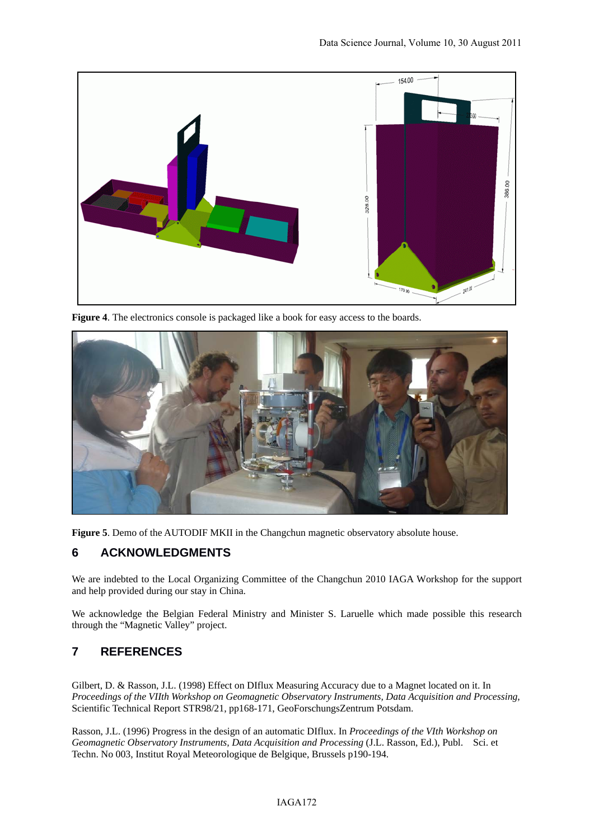

**Figure 4**. The electronics console is packaged like a book for easy access to the boards.



**Figure 5**. Demo of the AUTODIF MKII in the Changchun magnetic observatory absolute house.

## **6 ACKNOWLEDGMENTS**

We are indebted to the Local Organizing Committee of the Changchun 2010 IAGA Workshop for the support and help provided during our stay in China.

We acknowledge the Belgian Federal Ministry and Minister S. Laruelle which made possible this research through the "Magnetic Valley" project.

## **7 REFERENCES**

Gilbert, D. & Rasson, J.L. (1998) Effect on DIflux Measuring Accuracy due to a Magnet located on it. In *Proceedings of the VIIth Workshop on Geomagnetic Observatory Instruments, Data Acquisition and Processing*, Scientific Technical Report STR98/21, pp168-171, GeoForschungsZentrum Potsdam.

Rasson, J.L. (1996) Progress in the design of an automatic DIflux. In *Proceedings of the VIth Workshop on Geomagnetic Observatory Instruments, Data Acquisition and Processing* (J.L. Rasson, Ed.), Publ. Sci. et Techn. No 003, Institut Royal Meteorologique de Belgique, Brussels p190-194.